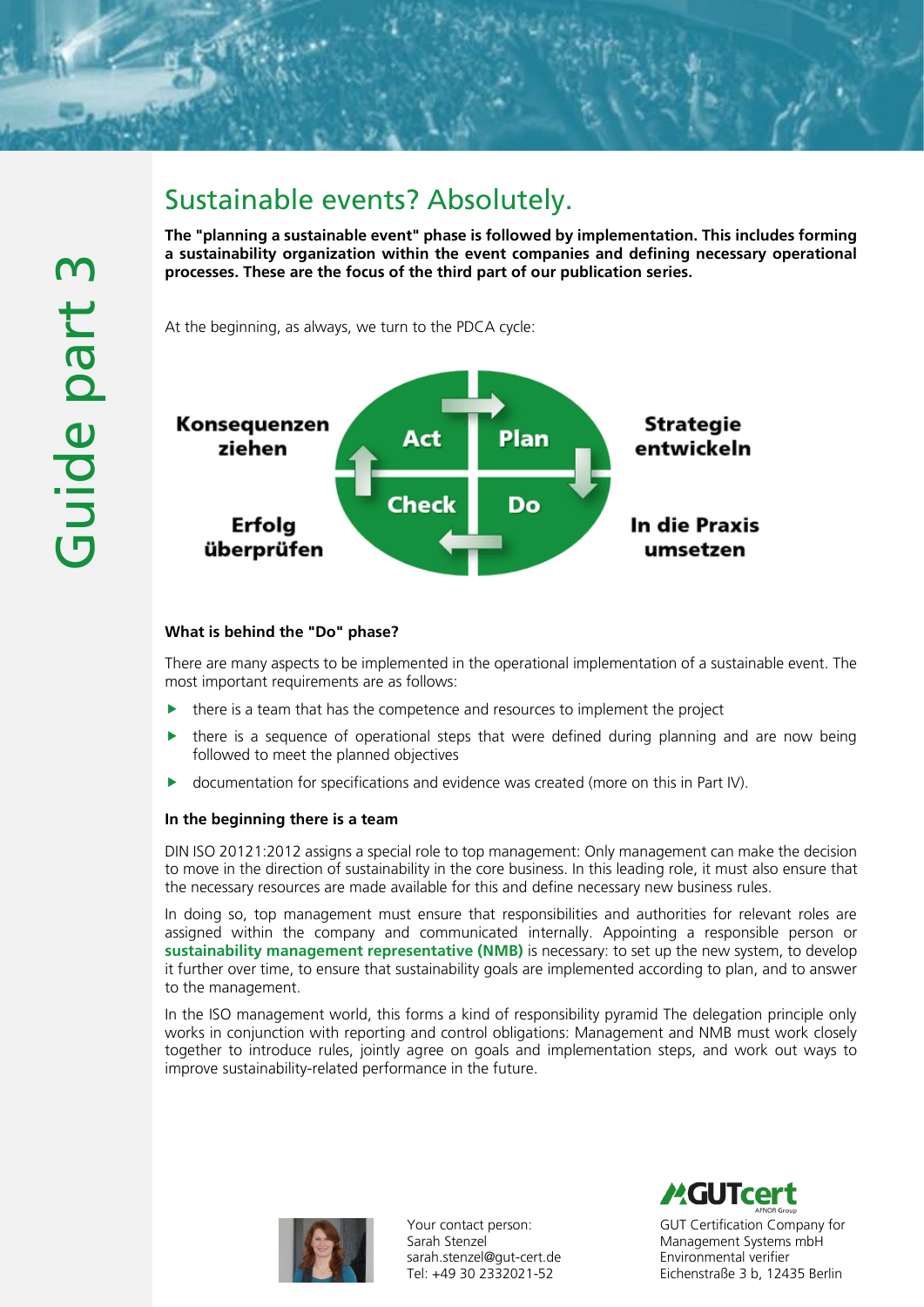

# Sustainable events? Absolutely.

The "planning a sustainable event" phase is followed by implementation. This includes forming a sustainability organization within the event companies and defining necessary operational processes. These are the focus of the third part of our publication series.

At the beginning, as always, we turn to the PDCA cycle:



# What is behind the "Do" phase?

There are many aspects to be implemented in the operational implementation of a sustainable event. The most important requirements are as follows:

- there is a team that has the competence and resources to implement the project
- $\triangleright$  there is a sequence of operational steps that were defined during planning and are now being followed to meet the planned objectives
- documentation for specifications and evidence was created (more on this in Part IV).

# In the beginning there is a team

DIN ISO 20121:2012 assigns a special role to top management: Only management can make the decision to move in the direction of sustainability in the core business. In this leading role, it must also ensure that the necessary resources are made available for this and define necessary new business rules.

In doing so, top management must ensure that responsibilities and authorities for relevant roles are assigned within the company and communicated internally. Appointing a responsible person or sustainability management representative (NMB) is necessary: to set up the new system, to develop it further over time, to ensure that sustainability goals are implemented according to plan, and to answer to the management.

In the ISO management world, this forms a kind of responsibility pyramid The delegation principle only works in conjunction with reporting and control obligations: Management and NMB must work closely together to introduce rules, jointly agree on goals and implementation steps, and work out ways to improve sustainability-related performance in the future.



Your contact person: Sarah Stenzel sarah.stenzel@gut-cert.de Tel: +49 30 2332021-52

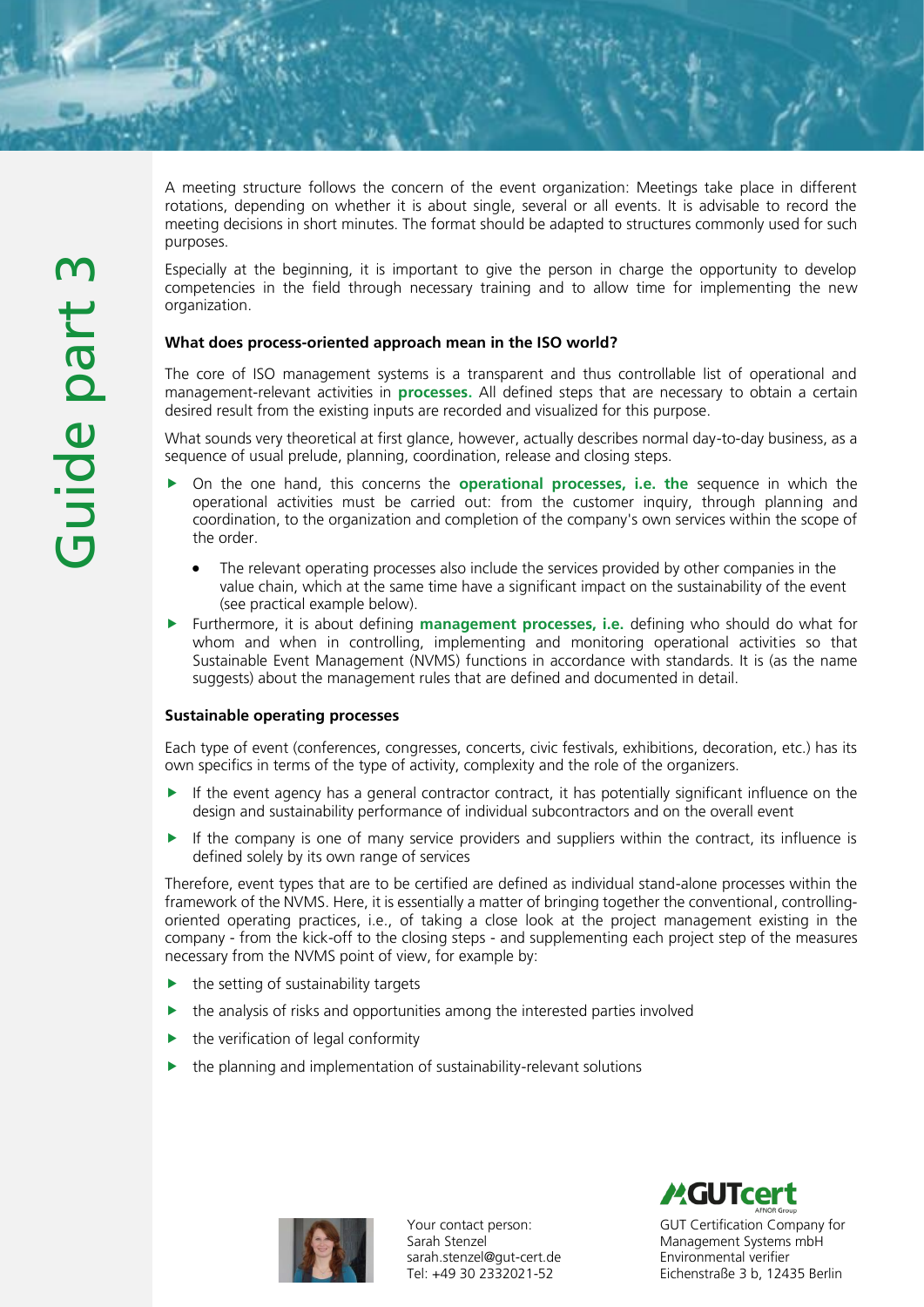A meeting structure follows the concern of the event organization: Meetings take place in different rotations, depending on whether it is about single, several or all events. It is advisable to record the meeting decisions in short minutes. The format should be adapted to structures commonly used for such purposes.

Especially at the beginning, it is important to give the person in charge the opportunity to develop competencies in the field through necessary training and to allow time for implementing the new organization.

# What does process-oriented approach mean in the ISO world?

The core of ISO management systems is a transparent and thus controllable list of operational and management-relevant activities in **processes**. All defined steps that are necessary to obtain a certain desired result from the existing inputs are recorded and visualized for this purpose.

What sounds very theoretical at first glance, however, actually describes normal day-to-day business, as a sequence of usual prelude, planning, coordination, release and closing steps.

- On the one hand, this concerns the **operational processes, i.e. the** sequence in which the operational activities must be carried out: from the customer inquiry, through planning and coordination, to the organization and completion of the company's own services within the scope of the order.
	- The relevant operating processes also include the services provided by other companies in the value chain, which at the same time have a significant impact on the sustainability of the event (see practical example below).
- Furthermore, it is about defining management processes, i.e. defining who should do what for whom and when in controlling, implementing and monitoring operational activities so that Sustainable Event Management (NVMS) functions in accordance with standards. It is (as the name suggests) about the management rules that are defined and documented in detail.

# Sustainable operating processes

Each type of event (conferences, congresses, concerts, civic festivals, exhibitions, decoration, etc.) has its own specifics in terms of the type of activity, complexity and the role of the organizers.

- If the event agency has a general contractor contract, it has potentially significant influence on the design and sustainability performance of individual subcontractors and on the overall event
- If the company is one of many service providers and suppliers within the contract, its influence is defined solely by its own range of services

Therefore, event types that are to be certified are defined as individual stand-alone processes within the framework of the NVMS. Here, it is essentially a matter of bringing together the conventional, controllingoriented operating practices, i.e., of taking a close look at the project management existing in the company - from the kick-off to the closing steps - and supplementing each project step of the measures necessary from the NVMS point of view, for example by:

- the setting of sustainability targets
- the analysis of risks and opportunities among the interested parties involved
- the verification of legal conformity
- the planning and implementation of sustainability-relevant solutions



Your contact person: Sarah Stenzel sarah.stenzel@gut-cert.de Tel: +49 30 2332021-52

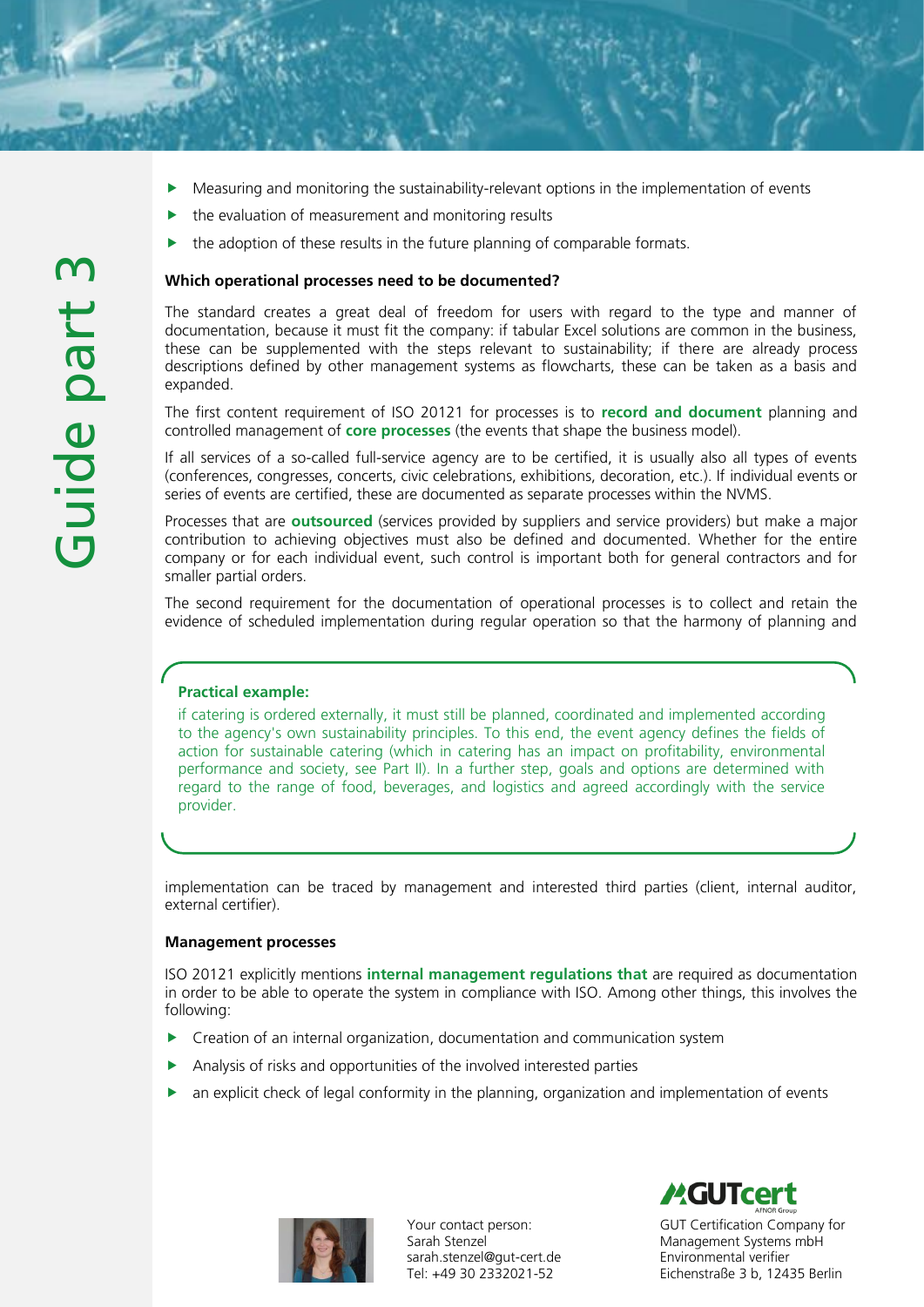- Measuring and monitoring the sustainability-relevant options in the implementation of events
- the evaluation of measurement and monitoring results
- the adoption of these results in the future planning of comparable formats.

#### Which operational processes need to be documented?

The standard creates a great deal of freedom for users with regard to the type and manner of documentation, because it must fit the company: if tabular Excel solutions are common in the business, these can be supplemented with the steps relevant to sustainability; if there are already process descriptions defined by other management systems as flowcharts, these can be taken as a basis and expanded.

The first content requirement of ISO 20121 for processes is to **record and document** planning and controlled management of **core processes** (the events that shape the business model).

If all services of a so-called full-service agency are to be certified, it is usually also all types of events (conferences, congresses, concerts, civic celebrations, exhibitions, decoration, etc.). If individual events or series of events are certified, these are documented as separate processes within the NVMS.

Processes that are **outsourced** (services provided by suppliers and service providers) but make a major contribution to achieving objectives must also be defined and documented. Whether for the entire company or for each individual event, such control is important both for general contractors and for smaller partial orders.

The second requirement for the documentation of operational processes is to collect and retain the evidence of scheduled implementation during regular operation so that the harmony of planning and

# Practical example:

if catering is ordered externally, it must still be planned, coordinated and implemented according to the agency's own sustainability principles. To this end, the event agency defines the fields of action for sustainable catering (which in catering has an impact on profitability, environmental performance and society, see Part II). In a further step, goals and options are determined with regard to the range of food, beverages, and logistics and agreed accordingly with the service provider.

implementation can be traced by management and interested third parties (client, internal auditor, external certifier).

#### Management processes

ISO 20121 explicitly mentions internal management regulations that are required as documentation in order to be able to operate the system in compliance with ISO. Among other things, this involves the following:

- **EXTENDING** Creation of an internal organization, documentation and communication system
- Analysis of risks and opportunities of the involved interested parties
- an explicit check of legal conformity in the planning, organization and implementation of events



Your contact person: Sarah Stenzel sarah.stenzel@gut-cert.de Tel: +49 30 2332021-52